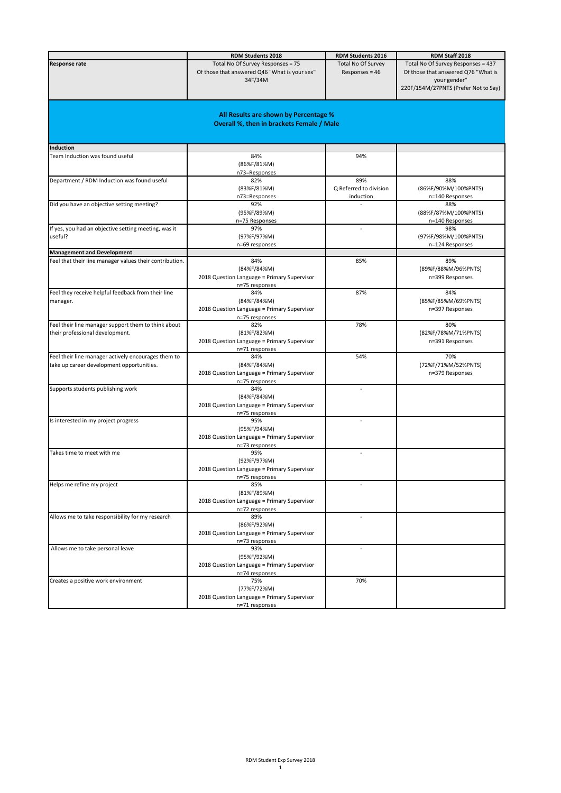|                                                         | <b>RDM Students 2018</b>                                      | <b>RDM Students 2016</b> | RDM Staff 2018                       |
|---------------------------------------------------------|---------------------------------------------------------------|--------------------------|--------------------------------------|
|                                                         |                                                               |                          |                                      |
| <b>Response rate</b>                                    | Total No Of Survey Responses = 75                             | Total No Of Survey       | Total No Of Survey Responses = 437   |
|                                                         | Of those that answered Q46 "What is your sex"                 | Responses = 46           | Of those that answered Q76 "What is  |
|                                                         | 34F/34M                                                       |                          | your gender"                         |
|                                                         |                                                               |                          | 220F/154M/27PNTS (Prefer Not to Say) |
|                                                         |                                                               |                          |                                      |
|                                                         |                                                               |                          |                                      |
|                                                         | All Results are shown by Percentage %                         |                          |                                      |
|                                                         | <b>Overall %, then in brackets Female / Male</b>              |                          |                                      |
|                                                         |                                                               |                          |                                      |
|                                                         |                                                               |                          |                                      |
| Induction                                               |                                                               |                          |                                      |
| Team Induction was found useful                         | 84%                                                           | 94%                      |                                      |
|                                                         | (86%F/81%M)                                                   |                          |                                      |
|                                                         | n73=Responses                                                 |                          |                                      |
| Department / RDM Induction was found useful             | 82%                                                           | 89%                      | 88%                                  |
|                                                         | (83%F/81%M)                                                   | Q Referred to division   | (86%F/90%M/100%PNTS)                 |
|                                                         | n73=Responses                                                 | induction                | n=140 Responses                      |
| Did you have an objective setting meeting?              | 92%                                                           |                          | 88%                                  |
|                                                         | (95%F/89%M)                                                   |                          | (88%F/87%M/100%PNTS)                 |
|                                                         | n=75 Responses                                                |                          | n=140 Responses                      |
| If yes, you had an objective setting meeting, was it    | 97%                                                           |                          | 98%                                  |
| useful?                                                 | (97%F/97%M)                                                   |                          | (97%F/98%M/100%PNTS)                 |
|                                                         | n=69 responses                                                |                          | n=124 Responses                      |
| <b>Management and Development</b>                       |                                                               |                          |                                      |
| Feel that their line manager values their contribution. | 84%                                                           | 85%                      | 89%                                  |
|                                                         | (84%F/84%M)                                                   |                          | (89%F/88%M/96%PNTS)                  |
|                                                         | 2018 Question Language = Primary Supervisor                   |                          | n=399 Responses                      |
|                                                         | n=75 responses                                                |                          |                                      |
| Feel they receive helpful feedback from their line      | 84%                                                           | 87%                      | 84%                                  |
| manager.                                                | (84%F/84%M)                                                   |                          | (85%F/85%M/69%PNTS)                  |
|                                                         | 2018 Question Language = Primary Supervisor                   |                          | n=397 Responses                      |
|                                                         | n=75 responses                                                |                          |                                      |
| Feel their line manager support them to think about     | 82%                                                           | 78%                      | 80%                                  |
| their professional development.                         | (81%F/82%M)                                                   |                          | (82%F/78%M/71%PNTS)                  |
|                                                         | 2018 Question Language = Primary Supervisor                   |                          | n=391 Responses                      |
|                                                         | n=71 responses                                                |                          |                                      |
| Feel their line manager actively encourages them to     | 84%                                                           | 54%                      | 70%                                  |
| take up career development opportunities.               | (84%F/84%M)                                                   |                          | (72%F/71%M/52%PNTS)                  |
|                                                         | 2018 Question Language = Primary Supervisor                   |                          | n=379 Responses                      |
|                                                         | n=75 responses                                                |                          |                                      |
| Supports students publishing work                       | 84%                                                           |                          |                                      |
|                                                         | (84%F/84%M)                                                   |                          |                                      |
|                                                         | 2018 Question Language = Primary Supervisor                   |                          |                                      |
|                                                         | n=75 responses                                                |                          |                                      |
| Is interested in my project progress                    | 95%                                                           |                          |                                      |
|                                                         | (95%F/94%M)                                                   |                          |                                      |
|                                                         | 2018 Question Language = Primary Supervisor                   |                          |                                      |
|                                                         | n=73 responses<br>95%                                         |                          |                                      |
| Takes time to meet with me                              |                                                               |                          |                                      |
|                                                         | (92%F/97%M)                                                   |                          |                                      |
|                                                         | 2018 Question Language = Primary Supervisor                   |                          |                                      |
|                                                         | n=75 responses<br>85%                                         |                          |                                      |
| Helps me refine my project                              |                                                               |                          |                                      |
|                                                         | (81%F/89%M)                                                   |                          |                                      |
|                                                         | 2018 Question Language = Primary Supervisor                   |                          |                                      |
| Allows me to take responsibility for my research        | n=72 responses<br>89%                                         |                          |                                      |
|                                                         | (86%F/92%M)                                                   |                          |                                      |
|                                                         |                                                               |                          |                                      |
|                                                         | 2018 Question Language = Primary Supervisor<br>n=73 responses |                          |                                      |
|                                                         | 93%                                                           | $\overline{\phantom{a}}$ |                                      |
| Allows me to take personal leave                        | (95%F/92%M)                                                   |                          |                                      |
|                                                         |                                                               |                          |                                      |
|                                                         | 2018 Question Language = Primary Supervisor                   |                          |                                      |
| Creates a positive work environment                     | n=74 responses<br>75%                                         | 70%                      |                                      |
|                                                         | (77%F/72%M)                                                   |                          |                                      |
|                                                         | 2018 Question Language = Primary Supervisor                   |                          |                                      |
|                                                         |                                                               |                          |                                      |
|                                                         | n=71 responses                                                |                          |                                      |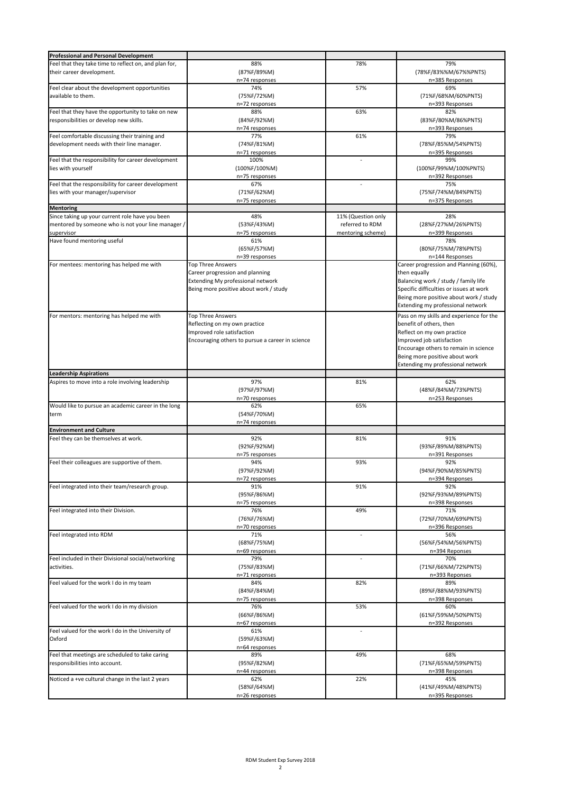| <b>Professional and Personal Development</b>          |                                                  |                    |                                          |
|-------------------------------------------------------|--------------------------------------------------|--------------------|------------------------------------------|
| Feel that they take time to reflect on, and plan for, | 88%                                              | 78%                | 79%                                      |
| their career development.                             | (87%F/89%M)                                      |                    | (78%F/83%%M/67%%PNTS)                    |
|                                                       |                                                  |                    | n=385 Responses                          |
|                                                       | n=74 responses                                   |                    |                                          |
| Feel clear about the development opportunities        | 74%                                              | 57%                | 69%                                      |
| available to them.                                    | (75%F/72%M)                                      |                    | (71%F/68%M/60%PNTS)                      |
|                                                       | n=72 responses                                   |                    | n=393 Responses                          |
| Feel that they have the opportunity to take on new    | 88%                                              | 63%                | 82%                                      |
| responsibilities or develop new skills.               | (84%F/92%M)                                      |                    | (83%F/80%M/86%PNTS)                      |
|                                                       | n=74 responses                                   |                    | n=393 Responses                          |
| Feel comfortable discussing their training and        | 77%                                              | 61%                | 79%                                      |
| development needs with their line manager.            | (74%F/81%M)                                      |                    | (78%F/85%M/54%PNTS)                      |
|                                                       | n=71 responses                                   |                    | n=395 Responses                          |
|                                                       |                                                  | ÷,                 | 99%                                      |
| Feel that the responsibility for career development   | 100%                                             |                    |                                          |
| lies with yourself                                    | (100%F/100%M)                                    |                    | (100%F/99%M/100%PNTS)                    |
|                                                       | n=75 responses                                   |                    | n=392 Responses                          |
| Feel that the responsibility for career development   | 67%                                              | L.                 | 75%                                      |
| lies with your manager/supervisor                     | (71%F/62%M)                                      |                    | (75%F/74%M/84%PNTS)                      |
|                                                       | n=75 responses                                   |                    | n=375 Responses                          |
| <b>Mentoring</b>                                      |                                                  |                    |                                          |
| Since taking up your current role have you been       | 48%                                              | 11% (Question only | 28%                                      |
|                                                       |                                                  |                    |                                          |
| mentored by someone who is not your line manager /    | (53%F/43%M)                                      | referred to RDM    | (28%F/27%M/26%PNTS)                      |
| supervisor                                            | n=75 responses                                   | mentoring scheme)  | n=399 Responses                          |
| Have found mentoring useful                           | 61%                                              |                    | 78%                                      |
|                                                       | (65%F/57%M)                                      |                    | (80%F/75%M/78%PNTS)                      |
|                                                       | n=39 responses                                   |                    | n=144 Responses                          |
| For mentees: mentoring has helped me with             | <b>Top Three Answers</b>                         |                    | Career progression and Planning (60%),   |
|                                                       | Career progression and planning                  |                    | then equally                             |
|                                                       | Extending My professional network                |                    | Balancing work / study / family life     |
|                                                       | Being more positive about work / study           |                    | Specific difficulties or issues at work  |
|                                                       |                                                  |                    |                                          |
|                                                       |                                                  |                    | Being more positive about work / study   |
|                                                       |                                                  |                    | Extending my professional network        |
| For mentors: mentoring has helped me with             | <b>Top Three Answers</b>                         |                    | Pass on my skills and experience for the |
|                                                       | Reflecting on my own practice                    |                    | benefit of others, then                  |
|                                                       |                                                  |                    |                                          |
|                                                       | Improved role satisfaction                       |                    | Reflect on my own practice               |
|                                                       | Encouraging others to pursue a career in science |                    | Improved job satisfaction                |
|                                                       |                                                  |                    | Encourage others to remain in science    |
|                                                       |                                                  |                    | Being more positive about work           |
|                                                       |                                                  |                    | Extending my professional network        |
| <b>Leadership Aspirations</b>                         |                                                  |                    |                                          |
|                                                       |                                                  |                    |                                          |
|                                                       |                                                  |                    |                                          |
| Aspires to move into a role involving leadership      | 97%                                              | 81%                | 62%                                      |
|                                                       | (97%F/97%M)                                      |                    | (48%F/84%M/73%PNTS)                      |
|                                                       | n=70 responses                                   |                    | n=253 Responses                          |
| Would like to pursue an academic career in the long   | 62%                                              | 65%                |                                          |
| term                                                  | (54%F/70%M)                                      |                    |                                          |
|                                                       |                                                  |                    |                                          |
|                                                       | n=74 responses                                   |                    |                                          |
| <b>Environment and Culture</b>                        |                                                  |                    |                                          |
| Feel they can be themselves at work.                  | 92%                                              | 81%                | 91%                                      |
|                                                       | (92%F/92%M)                                      |                    | (93%F/89%M/88%PNTS)                      |
|                                                       | n=75 responses                                   |                    | n=391 Responses                          |
| Feel their colleagues are supportive of them.         | 94%                                              | 93%                | 92%                                      |
|                                                       | (97%F/92%M)                                      |                    | (94%F/90%M/85%PNTS)                      |
|                                                       |                                                  |                    | n=394 Responses                          |
| Feel integrated into their team/research group.       | n=72 responses<br>91%                            | 91%                | 92%                                      |
|                                                       |                                                  |                    | (92%F/93%M/89%PNTS)                      |
|                                                       | (95%F/86%M)                                      |                    |                                          |
|                                                       | n=75 responses                                   |                    | n=398 Responses                          |
| Feel integrated into their Division.                  | 76%                                              | 49%                | 71%                                      |
|                                                       | (76%F/76%M)                                      |                    | (72%F/70%M/69%PNTS)                      |
|                                                       | n=70 responses                                   |                    | n=396 Responses                          |
| Feel integrated into RDM                              | 71%                                              |                    | 56%                                      |
|                                                       | (68%F/75%M)                                      |                    | (56%F/54%M/56%PNTS)                      |
|                                                       | n=69 responses                                   |                    | n=394 Reponses                           |
| Feel included in their Divisional social/networking   | 79%                                              | L,                 | 70%                                      |
| activities.                                           |                                                  |                    | (71%F/66%M/72%PNTS)                      |
|                                                       | (75%F/83%M)                                      |                    |                                          |
|                                                       | n=71 responses                                   |                    | n=393 Reponses                           |
| Feel valued for the work I do in my team              | 84%                                              | 82%                | 89%                                      |
|                                                       | (84%F/84%M)                                      |                    | (89%F/88%M/93%PNTS)                      |
|                                                       | n=75 responses                                   |                    | n=398 Responses                          |
| Feel valued for the work I do in my division          | 76%                                              | 53%                | 60%                                      |
|                                                       | (66%F/86%M)                                      |                    | (61%F/59%M/50%PNTS)                      |
|                                                       | n=67 responses                                   |                    | n=392 Responses                          |
| Feel valued for the work I do in the University of    | 61%                                              |                    |                                          |
| Oxford                                                | (59%F/63%M)                                      |                    |                                          |
|                                                       |                                                  |                    |                                          |
|                                                       | n=64 responses                                   |                    |                                          |
| Feel that meetings are scheduled to take caring       | 89%                                              | 49%                | 68%                                      |
| responsibilities into account.                        | (95%F/82%M)                                      |                    | (71%F/65%M/59%PNTS)                      |
|                                                       | n=44 responses                                   |                    | n=398 Responses                          |
| Noticed a +ve cultural change in the last 2 years     | 62%                                              | 22%                | 45%                                      |
|                                                       | (58%F/64%M)                                      |                    | (41%F/49%M/48%PNTS)                      |